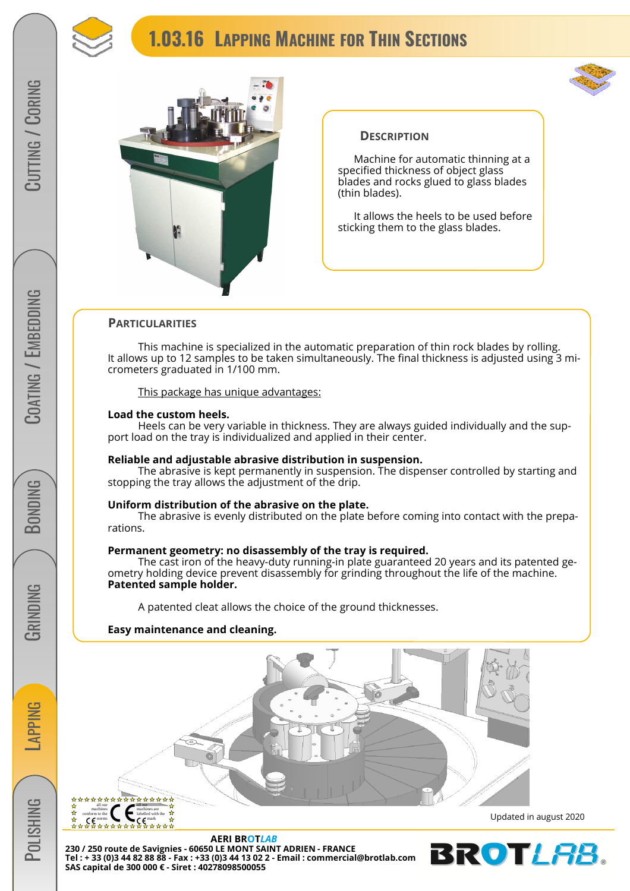

# **1.03.16 LAPPING MACHINE FOR THIN SECTIONS**





#### **DESCRIPTION**

Machine for automatic thinning at a specified thickness of object glass blades and rocks glued to glass blades (thin blades).

It allows the heels to be used before sticking them to the glass blades.

#### **PARTICULARITIES**

 This machine is specialized in the automatic preparation of thin rock blades by rolling. It allows up to 12 samples to be taken simultaneously. The final thickness is adjusted using 3 micrometers graduated in 1/100 mm.

#### This package has unique advantages:

#### **Load the custom heels.**

 Heels can be very variable in thickness. They are always guided individually and the support load on the tray is individualized and applied in their center.

#### **Reliable and adjustable abrasive distribution in suspension.**

 The abrasive is kept permanently in suspension. The dispenser controlled by starting and stopping the tray allows the adjustment of the drip.

#### **Uniform distribution of the abrasive on the plate.**

 The abrasive is evenly distributed on the plate before coming into contact with the preparations.

#### **Permanent geometry: no disassembly of the tray is required.**

 The cast iron of the heavy-duty running-in plate guaranteed 20 years and its patented geometry holding device prevent disassembly for grinding throughout the life of the machine. **Patented sample holder.** 

A patented cleat allows the choice of the ground thicknesses.

#### **Easy maintenance and cleaning.**



**AERI BROT***LAB* **230 / 250 route de Savignies - 60650 LE MONT SAINT ADRIEN - FRANCE Tel : + 33 (0)3 44 82 88 88 - Fax : +33 (0)3 44 13 02 2 - Email : commercial@brotlab.com SAS capital de 300 000 € - Siret : 40278098500055** 

Updated in august 2020



**LAPPING** 

**POLISHING** 

**BONDING**